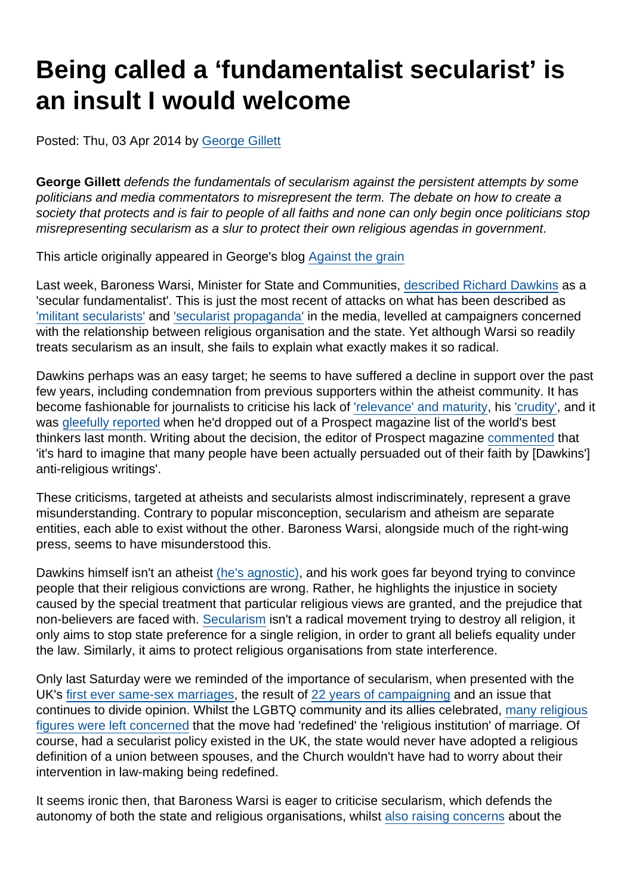# Being called a 'fundamentalist secularist' is an insult I would welcome

Posted: Thu, 03 Apr 2014 by [George Gillett](https://www.secularism.org.uk/opinion/authors/913)

George Gillett defends the fundamentals of secularism against the persistent attempts by some politicians and media commentators to misrepresent the term. The debate on how to create a society that protects and is fair to people of all faiths and none can only begin once politicians stop misrepresenting secularism as a slur to protect their own religious agendas in government.

This article originally appeared in George's blog [Against the grain](http://georgegillett.wordpress.com/2014/04/03/being-called-a-fundamentalist-secularist-is-an-insult-i-would-welcome/)

Last week, Baroness Warsi, Minister for State and Communities, [described Richard Dawkins](http://www.huffingtonpost.co.uk/2014/03/28/baroness-warsi-richard-da_n_5049516.html) as a 'secular fundamentalist'. This is just the most recent of attacks on what has been described as ['militant secularists'](http://www.telegraph.co.uk/news/politics/9080452/Britain-being-overtaken-by-militant-secularists-says-Baroness-Warsi.html) and ['secularist propaganda'](http://www.dailymail.co.uk/debate/article-2101256/Richard-Dawkins-How-man-high-IQ-low-views.html) in the media, levelled at campaigners concerned with the relationship between religious organisation and the state. Yet although Warsi so readily treats secularism as an insult, she fails to explain what exactly makes it so radical.

Dawkins perhaps was an easy target; he seems to have suffered a decline in support over the past few years, including condemnation from previous supporters within the atheist community. It has become fashionable for journalists to criticise his lack of ['relevance' and maturity,](http://www.newstatesman.com/religion/2013/08/atheism-maturing-and-it-will-leave-richard-dawkins-behind) his ['crudity'](http://www.spectator.co.uk/features/8885481/after-the-new-atheism/), and it was [gleefully reported](http://www.theguardian.com/commentisfree/2014/mar/22/goodbye-richard-dawkins-hail-pope-francis-prospect-magazine) when he'd dropped out of a Prospect magazine list of the world's best thinkers last month. Writing about the decision, the editor of Prospect magazine [commented](http://www.theguardian.com/commentisfree/2014/mar/22/goodbye-richard-dawkins-hail-pope-francis-prospect-magazine) that 'it's hard to imagine that many people have been actually persuaded out of their faith by [Dawkins'] anti-religious writings'.

These criticisms, targeted at atheists and secularists almost indiscriminately, represent a grave misunderstanding. Contrary to popular misconception, secularism and atheism are separate entities, each able to exist without the other. Baroness Warsi, alongside much of the right-wing press, seems to have misunderstood this.

Dawkins himself isn't an atheist [\(he's agnostic\)](http://www.dailymail.co.uk/news/article-2105834/Career-atheist-Richard-Dawkins-admits-fact-agnostic.html), and his work goes far beyond trying to convince people that their religious convictions are wrong. Rather, he highlights the injustice in society caused by the special treatment that particular religious views are granted, and the prejudice that non-believers are faced with. [Secularism](https://www.secularism.org.uk/what-is-secularism.html) isn't a radical movement trying to destroy all religion, it only aims to stop state preference for a single religion, in order to grant all beliefs equality under the law. Similarly, it aims to protect religious organisations from state interference.

Only last Saturday were we reminded of the importance of secularism, when presented with the UK's [first ever same-sex marriages](http://www.theguardian.com/society/2014/mar/29/gay-couples-wed-same-sex-marriage), the result of [22 years of campaigning](http://www.newstatesman.com/politics/2014/03/it-was-long-fight-equal-marriage-finally-it-s-here) and an issue that continues to divide opinion. Whilst the LGBTQ community and its allies celebrated, [many religious](http://www.bbc.co.uk/news/magazine-26634214) [figures were left concerned](http://www.bbc.co.uk/news/magazine-26634214) that the move had 'redefined' the 'religious institution' of marriage. Of course, had a secularist policy existed in the UK, the state would never have adopted a religious definition of a union between spouses, and the Church wouldn't have had to worry about their intervention in law-making being redefined.

It seems ironic then, that Baroness Warsi is eager to criticise secularism, which defends the autonomy of both the state and religious organisations, whilst [also raising concerns](http://www.telegraph.co.uk/news/politics/10514629/Baroness-Warsis-concern-over-effect-of-gay-marriage-laws-on-religious-groups.html) about the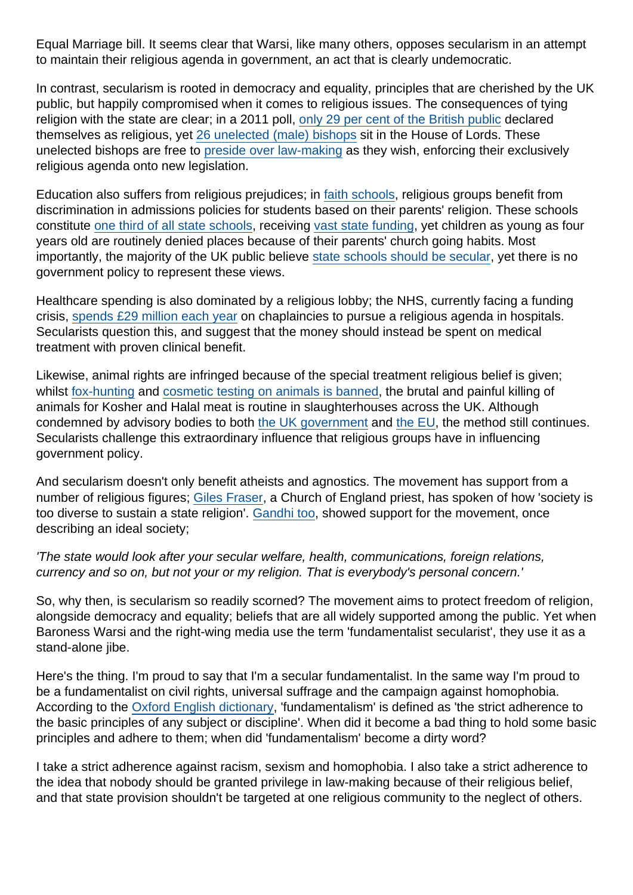Equal Marriage bill. It seems clear that Warsi, like many others, opposes secularism in an attempt to maintain their religious agenda in government, an act that is clearly undemocratic.

In contrast, secularism is rooted in democracy and equality, principles that are cherished by the UK public, but happily compromised when it comes to religious issues. The consequences of tying religion with the state are clear; in a 2011 poll, [only 29 per cent of the British public](https://humanism.org.uk/2011/03/20/news-771/) declared themselves as religious, yet [26 unelected \(male\) bishops](http://www.churchofengland.org/our-views/the-church-in-parliament/bishops-in-the-house-of-lords.aspx#What do Bishops do in Parliament) sit in the House of Lords. These unelected bishops are free to [preside over law-making](http://www.churchtimes.co.uk/articles/2013/7-june/news/uk/bishops-gather-in-lords-to-vote-against-gay-marriage-bill) as they wish, enforcing their exclusively religious agenda onto new legislation.

Education also suffers from religious prejudices; in [faith schools](https://www.secularism.org.uk/uploads/faith-school-admissions-campaign-briefing.pdf), religious groups benefit from discrimination in admissions policies for students based on their parents' religion. These schools constitute [one third of all state schools](http://www.independent.co.uk/voices/comment/faith-schools-must-not-be-funded-by-us-8891657.html), receiving [vast state funding,](http://accordcoalition.org.uk/2013/12/27/faith-schools-in-england-now-almost-entirely-state-funded/) yet children as young as four years old are routinely denied places because of their parents' church going habits. Most importantly, the majority of the UK public believe [state schools should be secular,](http://www.politics.co.uk/opinion-formers/bha-british-humanist-association/article/bha-public-oppose-state-funding-of-faith-schools-by-four-to) yet there is no government policy to represent these views.

Healthcare spending is also dominated by a religious lobby; the NHS, currently facing a funding crisis, [spends £29 million each year](https://www.secularism.org.uk/uploads/nss-chaplaincy-report-2011.pdf) on chaplaincies to pursue a religious agenda in hospitals. Secularists question this, and suggest that the money should instead be spent on medical treatment with proven clinical benefit.

Likewise, animal rights are infringed because of the special treatment religious belief is given; whilst [fox-hunting](https://www.gov.uk/hunting-and-the-law) and [cosmetic testing on animals is banned](http://ec.europa.eu/consumers/sectors/cosmetics/animal-testing/index_en.htm), the brutal and painful killing of animals for Kosher and Halal meat is routine in slaughterhouses across the UK. Although condemned by advisory bodies to both [the UK government](http://www.fawc.org.uk/reports/pb8347.pdf) and [the EU,](http://www.efsa.europa.eu/en/efsajournal/pub/45.htm) the method still continues. Secularists challenge this extraordinary influence that religious groups have in influencing government policy.

And secularism doesn't only benefit atheists and agnostics. The movement has support from a number of religious figures; [Giles Fraser](http://www.theguardian.com/commentisfree/belief/audio/2012/feb/20/giles-fraser-thinking-aloud-podcast-secularism), a Church of England priest, has spoken of how 'society is too diverse to sustain a state religion'. [Gandhi too](http://books.google.co.uk/books?id=y1BMOHA2D7AC&pg=PA158&lpg=PA158&dq=The+state+would+look+after+your+secular+welfare,+health,+communications,+foreign+relations,+currency+and+so+on,+but+not+your+or+my+religion.+That+is+everybody), showed support for the movement, once describing an ideal society;

'The state would look after your secular welfare, health, communications, foreign relations, currency and so on, but not your or my religion. That is everybody's personal concern.'

So, why then, is secularism so readily scorned? The movement aims to protect freedom of religion, alongside democracy and equality; beliefs that are all widely supported among the public. Yet when Baroness Warsi and the right-wing media use the term 'fundamentalist secularist', they use it as a stand-alone *iibe*.

Here's the thing. I'm proud to say that I'm a secular fundamentalist. In the same way I'm proud to be a fundamentalist on civil rights, universal suffrage and the campaign against homophobia. According to the [Oxford English dictionary](http://www.oxforddictionaries.com/definition/english/fundamentalism), 'fundamentalism' is defined as 'the strict adherence to the basic principles of any subject or discipline'. When did it become a bad thing to hold some basic principles and adhere to them; when did 'fundamentalism' become a dirty word?

I take a strict adherence against racism, sexism and homophobia. I also take a strict adherence to the idea that nobody should be granted privilege in law-making because of their religious belief, and that state provision shouldn't be targeted at one religious community to the neglect of others.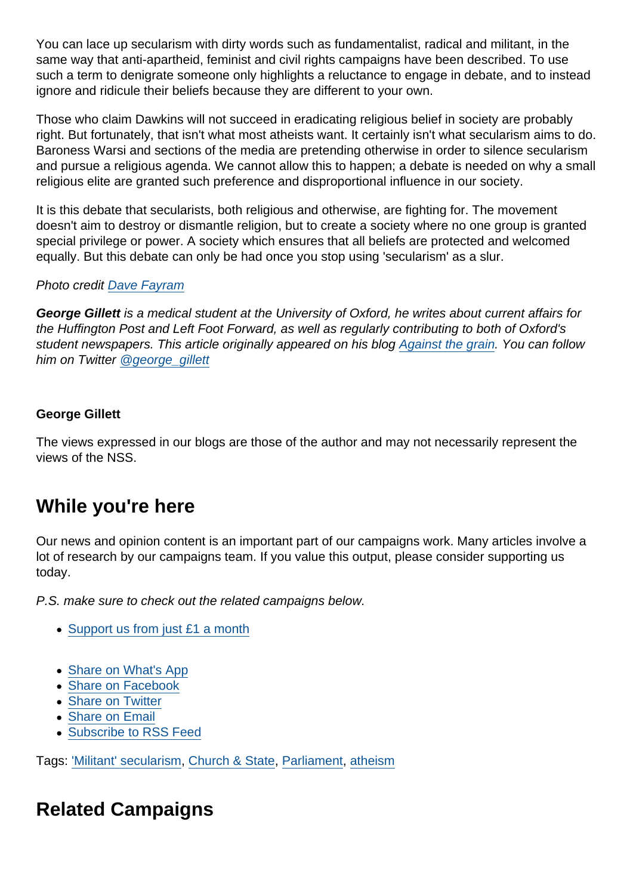You can lace up secularism with dirty words such as fundamentalist, radical and militant, in the same way that anti-apartheid, feminist and civil rights campaigns have been described. To use such a term to denigrate someone only highlights a reluctance to engage in debate, and to instead ignore and ridicule their beliefs because they are different to your own.

Those who claim Dawkins will not succeed in eradicating religious belief in society are probably right. But fortunately, that isn't what most atheists want. It certainly isn't what secularism aims to do. Baroness Warsi and sections of the media are pretending otherwise in order to silence secularism and pursue a religious agenda. We cannot allow this to happen; a debate is needed on why a small religious elite are granted such preference and disproportional influence in our society.

It is this debate that secularists, both religious and otherwise, are fighting for. The movement doesn't aim to destroy or dismantle religion, but to create a society where no one group is granted special privilege or power. A society which ensures that all beliefs are protected and welcomed equally. But this debate can only be had once you stop using 'secularism' as a slur.

Photo credit [Dave Fayram](https://www.flickr.com/photos/davefayram/4782352262/)

George Gillett is a medical student at the University of Oxford, he writes about current affairs for the Huffington Post and Left Foot Forward, as well as regularly contributing to both of Oxford's student newspapers. This article originally appeared on his blog [Against the grain.](http://georgegillett.wordpress.com/2014/04/03/being-called-a-fundamentalist-secularist-is-an-insult-i-would-welcome/) You can follow him on Twitter [@george\\_gillett](https://twitter.com/george_gillett)

George Gillett

The views expressed in our blogs are those of the author and may not necessarily represent the views of the NSS.

### While you're here

Our news and opinion content is an important part of our campaigns work. Many articles involve a lot of research by our campaigns team. If you value this output, please consider supporting us today.

P.S. make sure to check out the related campaigns below.

- [Support us from just £1 a month](https://www.secularism.org.uk/donate.html)
- [Share on What's App](whatsapp://send?text=http://www.secularism.org.uk/opinion/2014/04/being-called-a-fundamentalist-secularist-is-an-insult-i-would-welcome?format=pdf)
- [Share on Facebook](https://www.facebook.com/sharer/sharer.php?u=http://www.secularism.org.uk/opinion/2014/04/being-called-a-fundamentalist-secularist-is-an-insult-i-would-welcome?format=pdf&t=Being+called+a+‘fundamentalist+secularist’+is+an+insult+I+would+welcome)
- [Share on Twitter](https://twitter.com/intent/tweet?url=http://www.secularism.org.uk/opinion/2014/04/being-called-a-fundamentalist-secularist-is-an-insult-i-would-welcome?format=pdf&text=Being+called+a+‘fundamentalist+secularist’+is+an+insult+I+would+welcome&via=NatSecSoc)
- [Share on Email](https://www.secularism.org.uk/share.html?url=http://www.secularism.org.uk/opinion/2014/04/being-called-a-fundamentalist-secularist-is-an-insult-i-would-welcome?format=pdf&title=Being+called+a+‘fundamentalist+secularist’+is+an+insult+I+would+welcome)
- [Subscribe to RSS Feed](/mnt/web-data/www/cp-nss/feeds/rss/news)

Tags: ['Militant' secularism,](https://www.secularism.org.uk/opinion/tags/) [Church & State,](https://www.secularism.org.uk/opinion/tags/Church+&+State) [Parliament,](https://www.secularism.org.uk/opinion/tags/Parliament) [atheism](https://www.secularism.org.uk/opinion/tags/atheism)

## Related Campaigns